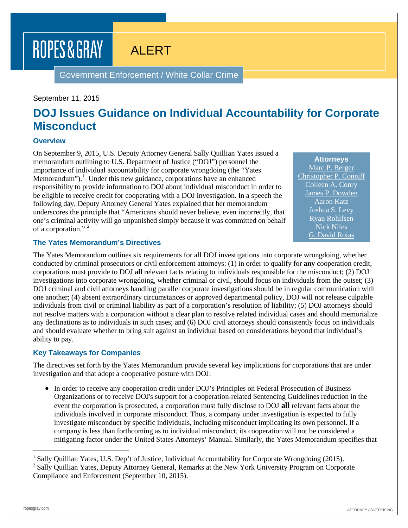# ROPES & GRAY

ALERT

Government Enforcement / White Collar Crime

#### September 11, 2015

## **DOJ Issues Guidance on Individual Accountability for Corporate Misconduct**

#### **Overview**

On September 9, 2015, U.S. Deputy Attorney General Sally Quillian Yates issued a memorandum outlining to U.S. Department of Justice ("DOJ") personnel the importance of individual accountability for corporate wrongdoing (the "Yates Memorandum").<sup>[1](#page-0-0)</sup> Under this new guidance, corporations have an enhanced responsibility to provide information to DOJ about individual misconduct in order to be eligible to receive credit for cooperating with a DOJ investigation. In a speech the following day, Deputy Attorney General Yates explained that her memorandum underscores the principle that "Americans should never believe, even incorrectly, that one's criminal activity will go unpunished simply because it was committed on behalf of a corporation."<sup>[2](#page-0-1)</sup>

**Attorneys** [Marc P. Berger](https://www.ropesgray.com/biographies/b/Marc-Berger.aspx) [Christopher P. Conniff](https://www.ropesgray.com/biographies/c/christopher-p-conniff.aspx) [Colleen A. Conry](https://www.ropesgray.com/biographies/c/colleen-a-conry.aspx) [James P. Dowden](https://www.ropesgray.com/biographies/d/james-p-dowden.aspx) [Aaron Katz](https://www.ropesgray.com/biographies/k/aaron-katz.aspx) [Joshua S. Levy](https://www.ropesgray.com/biographies/l/joshua-s-levy.aspx) [Ryan Rohlfsen](https://www.ropesgray.com/biographies/r/ryan-rohlfsen.aspx) [Nick Niles](https://www.ropesgray.com/biographies/n/nick-niles.aspx) [G. David Rojas](https://www.ropesgray.com/biographies/r/david-rojas.aspx)

#### **The Yates Memorandum's Directives**

The Yates Memorandum outlines six requirements for all DOJ investigations into corporate wrongdoing, whether conducted by criminal prosecutors or civil enforcement attorneys: (1) in order to qualify for **any** cooperation credit, corporations must provide to DOJ **all** relevant facts relating to individuals responsible for the misconduct; (2) DOJ investigations into corporate wrongdoing, whether criminal or civil, should focus on individuals from the outset; (3) DOJ criminal and civil attorneys handling parallel corporate investigations should be in regular communication with one another; (4) absent extraordinary circumstances or approved departmental policy, DOJ will not release culpable individuals from civil or criminal liability as part of a corporation's resolution of liability; (5) DOJ attorneys should not resolve matters with a corporation without a clear plan to resolve related individual cases and should memorialize any declinations as to individuals in such cases; and (6) DOJ civil attorneys should consistently focus on individuals and should evaluate whether to bring suit against an individual based on considerations beyond that individual's ability to pay.

#### **Key Takeaways for Companies**

The directives set forth by the Yates Memorandum provide several key implications for corporations that are under investigation and that adopt a cooperative posture with DOJ:

• In order to receive any cooperation credit under DOJ's Principles on Federal Prosecution of Business Organizations or to receive DOJ's support for a cooperation-related Sentencing Guidelines reduction in the event the corporation is prosecuted, a corporation must fully disclose to DOJ **all** relevant facts about the individuals involved in corporate misconduct. Thus, a company under investigation is expected to fully investigate misconduct by specific individuals, including misconduct implicating its own personnel. If a company is less than forthcoming as to individual misconduct, its cooperation will not be considered a mitigating factor under the United States Attorneys' Manual. Similarly, the Yates Memorandum specifies that

<span id="page-0-1"></span><span id="page-0-0"></span> <sup>1</sup> Sally Quillian Yates, U.S. Dep't of Justice, Individual Accountability for Corporate Wrongdoing (2015). <sup>2</sup> Sally Quillian Yates, Deputy Attorney General, Remarks at the New York University Program on Corporate Compliance and Enforcement (September 10, 2015).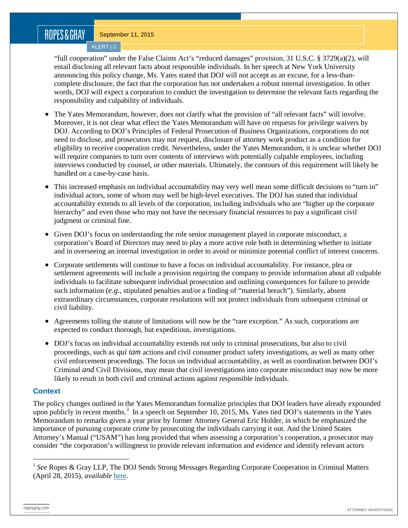## ROPES&GRAY

September 11, 2015

ALERT | 2

"full cooperation" under the False Claims Act's "reduced damages" provision, 31 U.S.C. § 3729(a)(2), will entail disclosing all relevant facts about responsible individuals. In her speech at New York University announcing this policy change, Ms. Yates stated that DOJ will not accept as an excuse, for a less-thancomplete disclosure, the fact that the corporation has not undertaken a robust internal investigation. In other words, DOJ will expect a corporation to conduct the investigation to determine the relevant facts regarding the responsibility and culpability of individuals.

- The Yates Memorandum, however, does not clarify what the provision of "all relevant facts" will involve. Moreover, it is not clear what effect the Yates Memorandum will have on requests for privilege waivers by DOJ. According to DOJ's Principles of Federal Prosecution of Business Organizations, corporations do not need to disclose, and prosecutors may not request, disclosure of attorney work product as a condition for eligibility to receive cooperation credit. Nevertheless, under the Yates Memorandum, it is unclear whether DOJ will require companies to turn over contents of interviews with potentially culpable employees, including interviews conducted by counsel, or other materials. Ultimately, the contours of this requirement will likely be handled on a case-by-case basis.
- This increased emphasis on individual accountability may very well mean some difficult decisions to "turn in" individual actors, some of whom may well be high-level executives. The DOJ has stated that individual accountability extends to all levels of the corporation, including individuals who are "higher up the corporate hierarchy" and even those who may not have the necessary financial resources to pay a significant civil judgment or criminal fine.
- Given DOJ's focus on understanding the role senior management played in corporate misconduct, a corporation's Board of Directors may need to play a more active role both in determining whether to initiate and in overseeing an internal investigation in order to avoid or minimize potential conflict of interest concerns.
- Corporate settlements will continue to have a focus on individual accountability. For instance, plea or settlement agreements will include a provision requiring the company to provide information about all culpable individuals to facilitate subsequent individual prosecution and outlining consequences for failure to provide such information (*e.g.*, stipulated penalties and/or a finding of "material breach"). Similarly, absent extraordinary circumstances, corporate resolutions will not protect individuals from subsequent criminal or civil liability.
- Agreements tolling the statute of limitations will now be the "rare exception." As such, corporations are expected to conduct thorough, but expeditious, investigations.
- DOJ's focus on individual accountability extends not only to criminal prosecutions, but also to civil proceedings, such as *qui tam* actions and civil consumer product safety investigations, as well as many other civil enforcement proceedings. The focus on individual accountability, as well as coordination between DOJ's Criminal *and* Civil Divisions, may mean that civil investigations into corporate misconduct may now be more likely to result in both civil and criminal actions against responsible individuals.

### **Context**

The policy changes outlined in the Yates Memorandum formalize principles that DOJ leaders have already expounded upon publicly in recent months.<sup>[3](#page-1-0)</sup> In a speech on September 10, 2015, Ms. Yates tied DOJ's statements in the Yates Memorandum to remarks given a year prior by former Attorney General Eric Holder, in which he emphasized the importance of pursuing corporate crime by prosecuting the individuals carrying it out. And the United States Attorney's Manual ("USAM") has long provided that when assessing a corporation's cooperation, a prosecutor may consider "the corporation's willingness to provide relevant information and evidence and identify relevant actors

<span id="page-1-0"></span> <sup>3</sup> *See* Ropes & Gray LLP, The DOJ Sends Strong Messages Regarding Corporate Cooperation in Criminal Matters (April 28, 2015), *available* [here.](https://www.ropesgray.com/news-and-insights/Insights/2015/April/The-DOJ-Sends-Strong-Messages-Regarding-Corporate-Cooperation-in-Criminal-Matters.aspx)